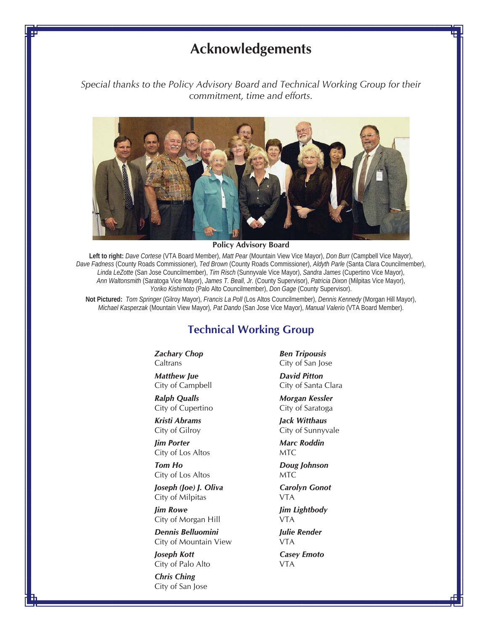## **Acknowledgements**

*Special thanks to the Policy Advisory Board and Technical Working Group for their commitment, time and efforts.* 



**Policy Advisory Board** 

**Left to right:** *Dave Cortese* (VTA Board Member), *Matt Pear* (Mountain View Vice Mayor), *Don Burr* (Campbell Vice Mayor), *Dave Fadness* (County Roads Commissioner), *Ted Brown* (County Roads Commissioner), *Aldyth Parle* (Santa Clara Councilmember), *Linda LeZotte* (San Jose Councilmember), *Tim Risch* (Sunnyvale Vice Mayor), *Sandra James* (Cupertino Vice Mayor), *Ann Waltonsmith* (Saratoga Vice Mayor), *James T. Beall, Jr.* (County Supervisor), *Patricia Dixon* (Milpitas Vice Mayor), *Yoriko Kishimoto* (Palo Alto Councilmember), *Don Gage* (County Supervisor).

**Not Pictured:** *Tom Springer* (Gilroy Mayor), *Francis La Poll* (Los Altos Councilmember), *Dennis Kennedy* (Morgan Hill Mayor), *Michael Kasperzak* (Mountain View Mayor)*, Pat Dando* (San Jose Vice Mayor), *Manual Valerio* (VTA Board Member).

## **Technical Working Group**

*Zachary Chop* **Caltrans** 

*Matthew Jue* City of Campbell

*Ralph Qualls* City of Cupertino

*Kristi Abrams* City of Gilroy

*Jim Porter* City of Los Altos

*Tom Ho* City of Los Altos

*Joseph (Joe) J. Oliva* City of Milpitas

*Jim Rowe* City of Morgan Hill

*Dennis Belluomini* City of Mountain View

*Joseph Kott* City of Palo Alto

*Chris Ching* City of San Jose *Ben Tripousis* City of San Jose

*David Pitton* City of Santa Clara

*Morgan Kessler* City of Saratoga

*Jack Witthaus* City of Sunnyvale

*Marc Roddin* MTC

*Doug Johnson* MTC

*Carolyn Gonot* VTA

*Jim Lightbody* VTA

*Julie Render*

VTA *Casey Emoto* VTA